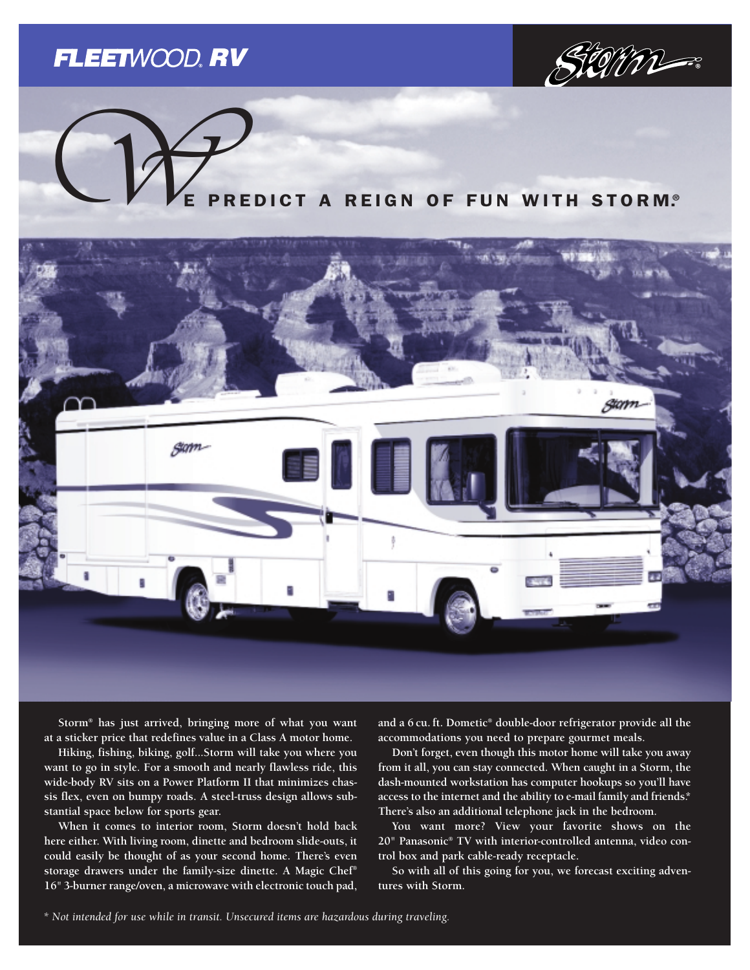## **FLEETWOOD, RV**



# REDICT A REIGN OF FUN WITH STORM.®  $Q$



**Storm® has just arrived, bringing more of what you want at a sticker price that redefines value in a Class A motor home.** 

**Hiking, fishing, biking, golf...Storm will take you where you want to go in style. For a smooth and nearly flawless ride, this wide-body RV sits on a Power Platform II that minimizes chassis flex, even on bumpy roads. A steel-truss design allows substantial space below for sports gear.** 

**When it comes to interior room, Storm doesn't hold back here either. With living room, dinette and bedroom slide-outs, it could easily be thought of as your second home. There's even storage drawers under the family-size dinette. A Magic Chef® 16" 3-burner range/oven, a microwave with electronic touch pad,** **and a 6 cu. ft. Dometic® double-door refrigerator provide all the accommodations you need to prepare gourmet meals.** 

**Don't forget, even though this motor home will take you away from it all, you can stay connected. When caught in a Storm, the dash-mounted workstation has computer hookups so you'll have access to the internet and the ability to e-mail family and friends.\* There's also an additional telephone jack in the bedroom.**

**You want more? View your favorite shows on the 20" Panasonic® TV with interior-controlled antenna, video control box and park cable-ready receptacle.**

**So with all of this going for you, we forecast exciting adventures with Storm.**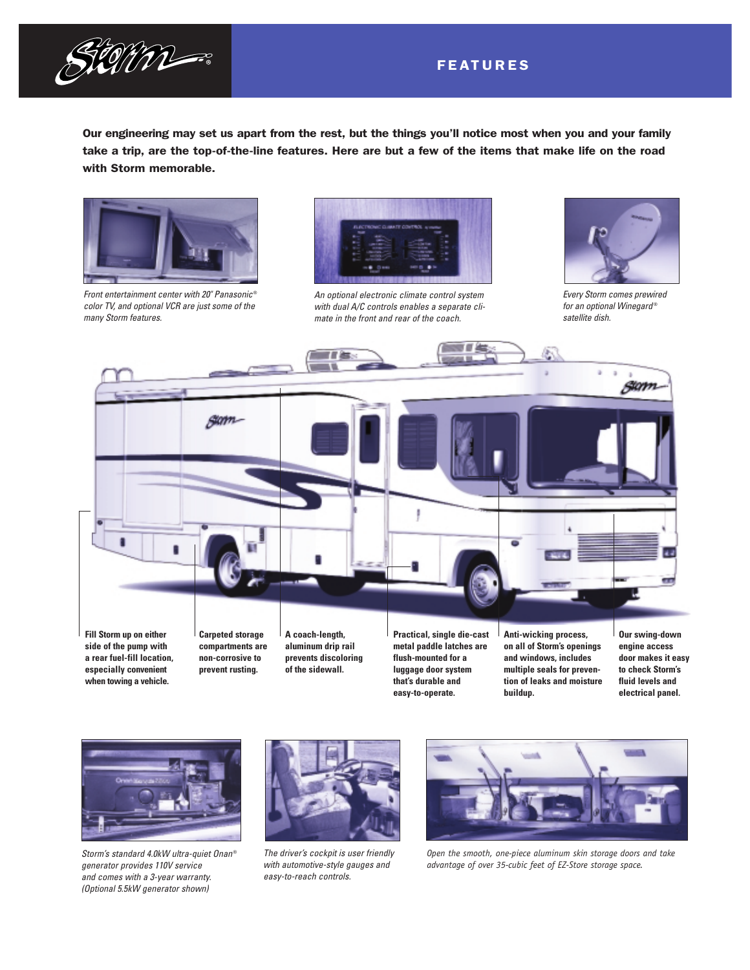

### FEATURES

Our engineering may set us apart from the rest, but the things you'll notice most when you and your family take a trip, are the top-of-the-line features. Here are but a few of the items that make life on the road with Storm memorable.



*Front entertainment center with 20" Panasonic* ® *color TV, and optional VCR are just some of the many Storm features.*



*An optional electronic climate control system with dual A/C controls enables a separate climate in the front and rear of the coach.*



*Every Storm comes prewired for an optional Winegard* ® *satellite dish.*



**especially convenient when towing a vehicle.** **of the sidewall.**

**luggage door system that's durable and easy-to-operate.**

**multiple seals for prevention of leaks and moisture buildup.**

**door makes it easy to check Storm's fluid levels and electrical panel.**



*Storm's standard 4.0kW ultra-quiet Onan* ® *generator provides 110V service and comes with a 3-year warranty. (Optional 5.5kW generator shown)*



*The driver's cockpit is user friendly with automotive-style gauges and easy-to-reach controls.*



*Open the smooth, one-piece aluminum skin storage doors and take advantage of over 35-cubic feet of EZ-Store storage space.*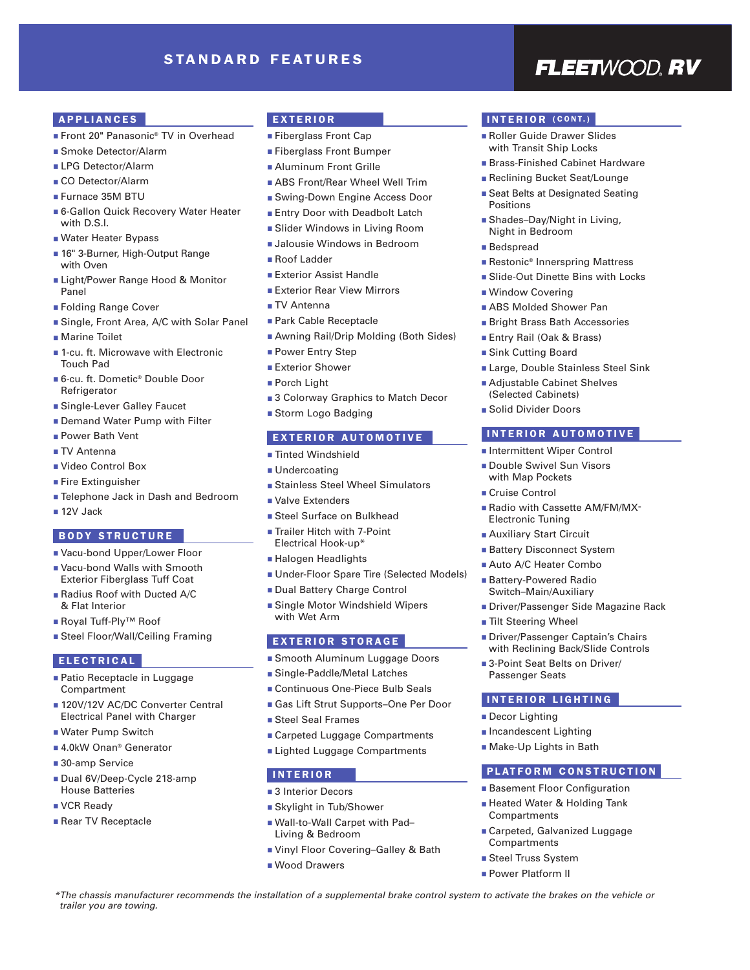### STANDARD FEATURES

## **FLEETWOOD RV**

### APPLIANCES

- Front 20" Panasonic<sup>®</sup> TV in Overhead
- Smoke Detector/Alarm
- LPG Detector/Alarm
- CO Detector/Alarm
- Furnace 35M BTU
- 6-Gallon Quick Recovery Water Heater with D.S.I.
- Water Heater Bypass
- 16" 3-Burner, High-Output Range with Oven
- Light/Power Range Hood & Monitor Panel
- Folding Range Cover
- Single, Front Area, A/C with Solar Panel
- Marine Toilet
- 1-cu. ft. Microwave with Electronic Touch Pad
- 6-cu. ft. Dometic® Double Door Refrigerator
- Single-Lever Galley Faucet
- Demand Water Pump with Filter
- Power Bath Vent
- TV Antenna
- Video Control Box
- Fire Extinguisher
- Telephone Jack in Dash and Bedroom
- 12V Jack

### BODY STRUCTURE

- Vacu-bond Upper/Lower Floor
- Vacu-bond Walls with Smooth Exterior Fiberglass Tuff Coat
- Radius Roof with Ducted A/C & Flat Interior
- Royal Tuff-Ply<sup>™</sup> Roof
- Steel Floor/Wall/Ceiling Framing

### ELECTRICAL

- Patio Receptacle in Luggage Compartment
- 120V/12V AC/DC Converter Central Electrical Panel with Charger
- Water Pump Switch
- 4.0kW Onan<sup>®</sup> Generator
- 30-amp Service
- Dual 6V/Deep-Cycle 218-amp House Batteries
- VCR Ready
- Rear TV Receptacle

*trailer you are towing.*

### EXTERIOR

### ■ Fiberglass Front Cap

- Fiberglass Front Bumper
- Aluminum Front Grille
- ABS Front/Rear Wheel Well Trim
- Swing-Down Engine Access Door
- Entry Door with Deadbolt Latch
- Slider Windows in Living Room
- Jalousie Windows in Bedroom
- Roof Ladder
- Exterior Assist Handle
- Exterior Rear View Mirrors
- TV Antenna
- Park Cable Receptacle
- Awning Rail/Drip Molding (Both Sides)
- Power Entry Step
- Exterior Shower
- Porch Light
- 3 Colorway Graphics to Match Decor
- Storm Logo Badging

### EXTERIOR AUTOMOTIVE

- Tinted Windshield
- Undercoating
- Stainless Steel Wheel Simulators
- Valve Extenders
- Steel Surface on Bulkhead
- Trailer Hitch with 7-Point Electrical Hook-up\*
- Halogen Headlights
- Under-Floor Spare Tire (Selected Models)
- Dual Battery Charge Control
- Single Motor Windshield Wipers with Wet Arm

### EXTERIOR STORAGE

- Smooth Aluminum Luggage Doors
- Single-Paddle/Metal Latches
- Continuous One-Piece Bulb Seals
- Gas Lift Strut Supports-One Per Door
- Steel Seal Frames
- Carpeted Luggage Compartments
- Lighted Luggage Compartments

### INTERIOR

- 3 Interior Decors
- Skylight in Tub/Shower
- Wall-to-Wall Carpet with Pad– Living & Bedroom
- Vinyl Floor Covering-Galley & Bath

*\*The chassis manufacturer recommends the installation of a supplemental brake control system to activate the brakes on the vehicle or*

■ Wood Drawers

### INTERIOR (CONT.)

- Roller Guide Drawer Slides with Transit Ship Locks
- Brass-Finished Cabinet Hardware
- Reclining Bucket Seat/Lounge
- Seat Belts at Designated Seating Positions
- Shades-Day/Night in Living, Night in Bedroom
- Bedspread
- Restonic<sup>®</sup> Innerspring Mattress
- Slide-Out Dinette Bins with Locks
- Window Covering
- ABS Molded Shower Pan
- Bright Brass Bath Accessories
- Entry Rail (Oak & Brass)

■ Adjustable Cabinet Shelves (Selected Cabinets) ■ Solid Divider Doors

- Sink Cutting Board
- Large, Double Stainless Steel Sink

INTERIOR AUTOMOTIVE ■ Intermittent Wiper Control ■ Double Swivel Sun Visors with Map Pockets ■ Cruise Control

■ Radio with Cassette AM/FM/MX-

■ Driver/Passenger Side Magazine Rack

■ Driver/Passenger Captain's Chairs with Reclining Back/Slide Controls ■ 3-Point Seat Belts on Driver/

PLATFORM CONSTRUCTION ■ Basement Floor Configuration ■ Heated Water & Holding Tank

■ Carpeted, Galvanized Luggage

Electronic Tuning ■ Auxiliary Start Circuit ■ Battery Disconnect System ■ Auto A/C Heater Combo ■ Battery-Powered Radio Switch–Main/Auxiliary

■ Tilt Steering Wheel

Passenger Seats

■ Decor Lighting ■ Incandescent Lighting ■ Make-Up Lights in Bath

Compartments

Compartments ■ Steel Truss System ■ Power Platform II

INTERIOR LIGHTING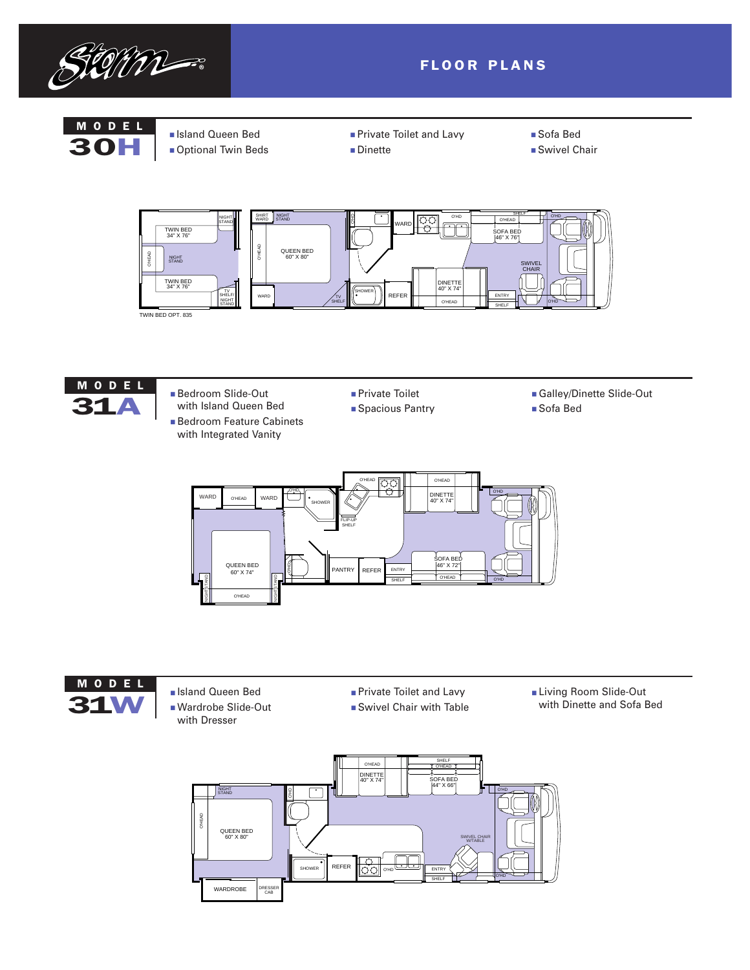

### FLOOR PLANS

## MODEL

- Island Queen Bed<br>30H **Deprimal Twin Bed** ■ Optional Twin Beds
- 
- Private Toilet and Lavy ■ Dinette
- Sofa Bed
- Swivel Chair





- Bedroom Slide-Out with Island Queen Bed ■ Bedroom Feature Cabinets with Integrated Vanity
- Private Toilet
- Spacious Pantry
- Galley/Dinette Slide-Out
- Sofa Bed





- MODEL BISLAND BISLAND BISLAND BISLAND BISLAND BISLAND BISLAND BISLAND BIGGER OUT with Dresser
- Private Toilet and Lavy
- Swivel Chair with Table
- Living Room Slide-Out with Dinette and Sofa Bed

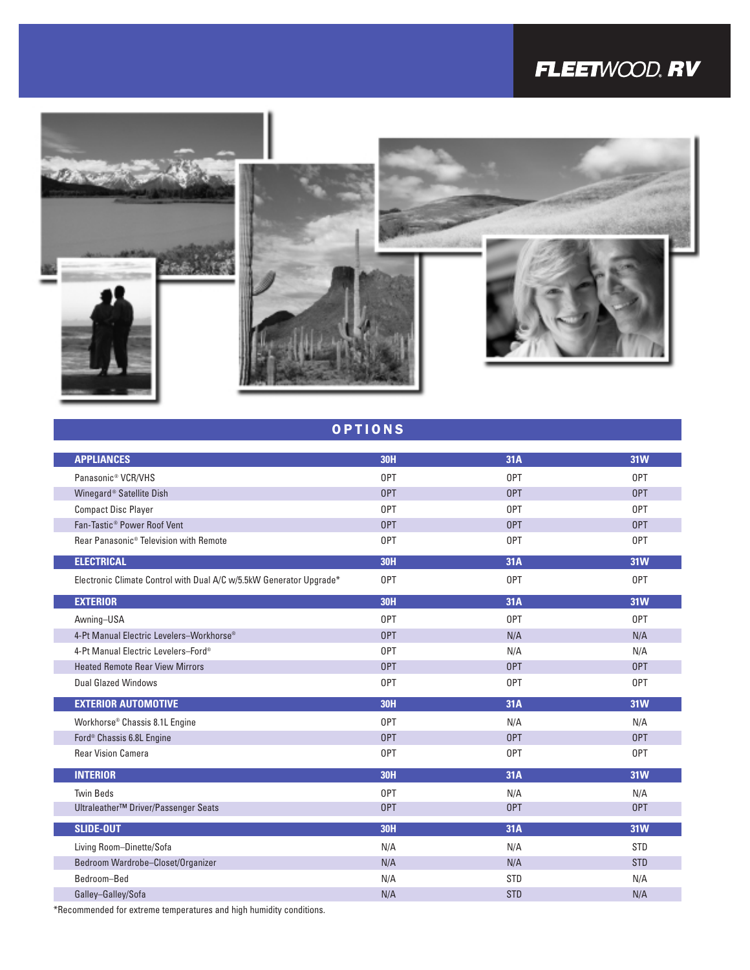## FLEETWOOD, RV



| <b>OPTIONS</b> |  |  |  |
|----------------|--|--|--|
|                |  |  |  |

| <b>APPLIANCES</b>                                                   | <b>30H</b> | 31A        | <b>31W</b> |
|---------------------------------------------------------------------|------------|------------|------------|
| Panasonic <sup>®</sup> VCR/VHS                                      | 0PT        | 0PT        | 0PT        |
| Winegard <sup>®</sup> Satellite Dish                                | 0PT        | 0PT        | <b>OPT</b> |
| <b>Compact Disc Player</b>                                          | 0PT        | 0PT        | 0PT        |
| Fan-Tastic <sup>®</sup> Power Roof Vent                             | <b>OPT</b> | <b>OPT</b> | <b>OPT</b> |
| Rear Panasonic <sup>®</sup> Television with Remote                  | 0PT        | 0PT        | 0PT        |
| <b>ELECTRICAL</b>                                                   | <b>30H</b> | 31A        | <b>31W</b> |
| Electronic Climate Control with Dual A/C w/5.5kW Generator Upgrade* | 0PT        | 0PT        | 0PT        |
| <b>EXTERIOR</b>                                                     | <b>30H</b> | 31A        | <b>31W</b> |
| Awning-USA                                                          | 0PT        | 0PT        | 0PT        |
| 4-Pt Manual Electric Levelers-Workhorse <sup>®</sup>                | <b>OPT</b> | N/A        | N/A        |
| 4-Pt Manual Electric Levelers-Ford®                                 | 0PT        | N/A        | N/A        |
| <b>Heated Remote Rear View Mirrors</b>                              | <b>OPT</b> | <b>OPT</b> | <b>OPT</b> |
| <b>Dual Glazed Windows</b>                                          | 0PT        | 0PT        | 0PT        |
| <b>EXTERIOR AUTOMOTIVE</b>                                          | <b>30H</b> | 31A        | <b>31W</b> |
| Workhorse <sup>®</sup> Chassis 8.1L Engine                          | 0PT        | N/A        | N/A        |
| Ford <sup>®</sup> Chassis 6.8L Engine                               | <b>OPT</b> | 0PT        | <b>OPT</b> |
| <b>Rear Vision Camera</b>                                           | 0PT        | 0PT        | 0PT        |
| <b>INTERIOR</b>                                                     | <b>30H</b> | 31A        | <b>31W</b> |
| <b>Twin Beds</b>                                                    | 0PT        | N/A        | N/A        |
| Ultraleather™ Driver/Passenger Seats                                | <b>OPT</b> | 0PT        | <b>OPT</b> |
| <b>SLIDE-OUT</b>                                                    | <b>30H</b> | 31A        | <b>31W</b> |
| Living Room-Dinette/Sofa                                            | N/A        | N/A        | <b>STD</b> |
| Bedroom Wardrobe-Closet/Organizer                                   | N/A        | N/A        | <b>STD</b> |
| Bedroom-Bed                                                         | N/A        | <b>STD</b> | N/A        |
| Galley-Galley/Sofa                                                  | N/A        | <b>STD</b> | N/A        |

\*Recommended for extreme temperatures and high humidity conditions.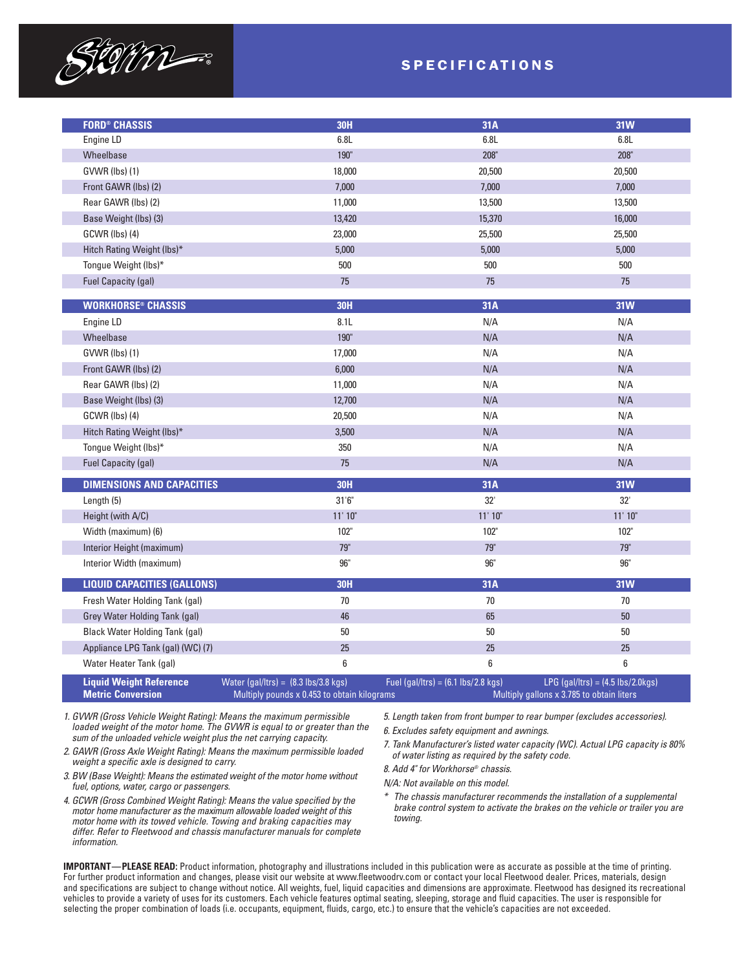

### SPECIFICATIONS

| <b>FORD® CHASSIS</b>                                       | <b>30H</b>                                                                                           | 31A                                                  | <b>31W</b>                                                                       |
|------------------------------------------------------------|------------------------------------------------------------------------------------------------------|------------------------------------------------------|----------------------------------------------------------------------------------|
| Engine LD                                                  | 6.8L                                                                                                 | 6.8L                                                 | 6.8L                                                                             |
| Wheelbase                                                  | 190"                                                                                                 | 208"                                                 | $208"$                                                                           |
| GVWR (lbs) (1)                                             | 18,000                                                                                               | 20,500                                               | 20,500                                                                           |
| Front GAWR (lbs) (2)                                       | 7,000                                                                                                | 7,000                                                | 7,000                                                                            |
| Rear GAWR (lbs) (2)                                        | 11,000                                                                                               | 13,500                                               | 13,500                                                                           |
| Base Weight (lbs) (3)                                      | 13,420                                                                                               | 15,370                                               | 16,000                                                                           |
| GCWR (lbs) (4)                                             | 23,000                                                                                               | 25,500                                               | 25,500                                                                           |
| Hitch Rating Weight (lbs)*                                 | 5,000                                                                                                | 5,000                                                | 5,000                                                                            |
| Tongue Weight (lbs)*                                       | 500                                                                                                  | 500                                                  | 500                                                                              |
| <b>Fuel Capacity (gal)</b>                                 | 75                                                                                                   | 75                                                   | 75                                                                               |
|                                                            | <b>30H</b>                                                                                           |                                                      |                                                                                  |
| <b>WORKHORSE<sup>®</sup> CHASSIS</b>                       |                                                                                                      | 31A                                                  | <b>31W</b>                                                                       |
| Engine LD                                                  | 8.1L                                                                                                 | N/A                                                  | N/A                                                                              |
| Wheelbase                                                  | 190"                                                                                                 | N/A                                                  | N/A                                                                              |
| GVWR (lbs) (1)                                             | 17,000                                                                                               | N/A                                                  | N/A                                                                              |
| Front GAWR (lbs) (2)                                       | 6,000                                                                                                | N/A                                                  | N/A                                                                              |
| Rear GAWR (lbs) (2)                                        | 11,000                                                                                               | N/A                                                  | N/A                                                                              |
| Base Weight (lbs) (3)                                      | 12,700                                                                                               | N/A                                                  | N/A                                                                              |
| GCWR (lbs) (4)                                             | 20,500                                                                                               | N/A                                                  | N/A                                                                              |
| Hitch Rating Weight (lbs)*                                 | 3,500                                                                                                | N/A                                                  | N/A                                                                              |
| Tongue Weight (lbs)*                                       | 350                                                                                                  | N/A                                                  | N/A                                                                              |
| <b>Fuel Capacity (gal)</b>                                 | 75                                                                                                   | N/A                                                  | N/A                                                                              |
| <b>DIMENSIONS AND CAPACITIES</b>                           | <b>30H</b>                                                                                           | 31A                                                  | <b>31W</b>                                                                       |
| Length (5)                                                 | $31^{\circ}6^{\circ}$                                                                                | 32'                                                  | 32'                                                                              |
| Height (with A/C)                                          | 11'10''                                                                                              | 11' 10"                                              | 11'10"                                                                           |
| Width (maximum) (6)                                        | 102"                                                                                                 | 102"                                                 | 102"                                                                             |
| Interior Height (maximum)                                  | 79"                                                                                                  | 79"                                                  | <b>79"</b>                                                                       |
| Interior Width (maximum)                                   | $96"$                                                                                                | 96"                                                  | 96"                                                                              |
| <b>LIQUID CAPACITIES (GALLONS)</b>                         | <b>30H</b>                                                                                           | 31A                                                  | <b>31W</b>                                                                       |
| Fresh Water Holding Tank (gal)                             | $70$                                                                                                 | 70                                                   | 70                                                                               |
| Grey Water Holding Tank (gal)                              | 46                                                                                                   | 65                                                   | 50                                                                               |
| <b>Black Water Holding Tank (gal)</b>                      | $50\,$                                                                                               | 50                                                   | 50                                                                               |
| Appliance LPG Tank (gal) (WC) (7)                          | 25                                                                                                   | 25                                                   | 25                                                                               |
| Water Heater Tank (gal)                                    | 6                                                                                                    | 6                                                    | 6                                                                                |
| <b>Liquid Weight Reference</b><br><b>Metric Conversion</b> | Water (gal/ltrs) = $(8.3 \text{ lbs}/3.8 \text{ kg})$<br>Multiply pounds x 0.453 to obtain kilograms | Fuel (gal/ltrs) = $(6.1 \text{ lbs}/2.8 \text{ kg})$ | $LPG$ (gal/ltrs) = (4.5 lbs/2.0kgs)<br>Multiply gallons x 3.785 to obtain liters |

*1. GVWR (Gross Vehicle Weight Rating): Means the maximum permissible loaded weight of the motor home. The GVWR is equal to or greater than the sum of the unloaded vehicle weight plus the net carrying capacity.*

- *2. GAWR (Gross Axle Weight Rating): Means the maximum permissible loaded weight a specific axle is designed to carry.*
- *3. BW (Base Weight): Means the estimated weight of the motor home without fuel, options, water, cargo or passengers.*
- *4. GCWR (Gross Combined Weight Rating): Means the value specified by the motor home manufacturer as the maximum allowable loaded weight of this motor home with its towed vehicle. Towing and braking capacities may differ. Refer to Fleetwood and chassis manufacturer manuals for complete information.*

*5. Length taken from front bumper to rear bumper (excludes accessories).*

*6. Excludes safety equipment and awnings.*

*7. Tank Manufacturer's listed water capacity (WC). Actual LPG capacity is 80% of water listing as required by the safety code.*

*8. Add 4" for Workhorse® chassis.*

*N/A: Not available on this model.*

*\* The chassis manufacturer recommends the installation of a supplemental brake control system to activate the brakes on the vehicle or trailer you are towing.*

**IMPORTANT—PLEASE READ:** Product information, photography and illustrations included in this publication were as accurate as possible at the time of printing. For further product information and changes, please visit our website at www.fleetwoodrv.com or contact your local Fleetwood dealer. Prices, materials, design and specifications are subject to change without notice. All weights, fuel, liquid capacities and dimensions are approximate. Fleetwood has designed its recreational vehicles to provide a variety of uses for its customers. Each vehicle features optimal seating, sleeping, storage and fluid capacities. The user is responsible for selecting the proper combination of loads (i.e. occupants, equipment, fluids, cargo, etc.) to ensure that the vehicle's capacities are not exceeded.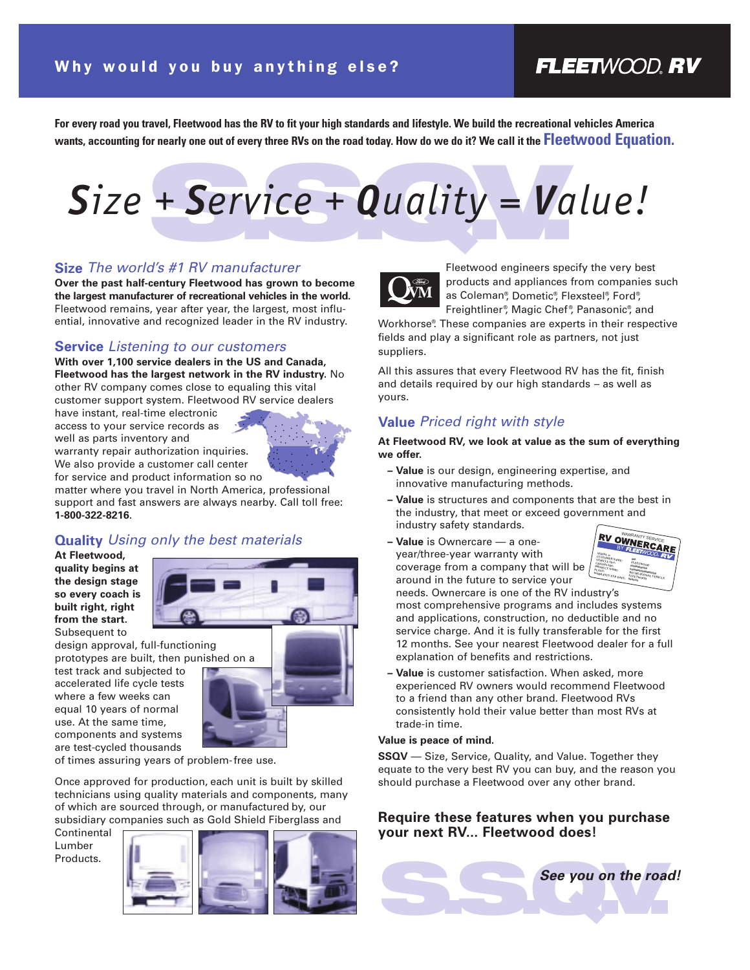### **FLEETWOOD.RV**

**For every road you travel, Fleetwood has the RV to fit your high standards and lifestyle. We build the recreational vehicles America wants, accounting for nearly one out of every three RVs on the road today. How do we do it? We call it the Fleetwood Equation.**

## + Service + Quality = Va *Size + Service + Quality = Value!*

### **Size** *The world's #1 RV manufacturer*

**Over the past half-century Fleetwood has grown to become the largest manufacturer of recreational vehicles in the world.** Fleetwood remains, year after year, the largest, most influential, innovative and recognized leader in the RV industry.

### **Service** *Listening to our customers*

**With over 1,100 service dealers in the US and Canada, Fleetwood has the largest network in the RV industry.** No other RV company comes close to equaling this vital customer support system. Fleetwood RV service dealers

have instant, real-time electronic access to your service records as well as parts inventory and

warranty repair authorization inquiries. We also provide a customer call center for service and product information so no



matter where you travel in North America, professional support and fast answers are always nearby. Call toll free: **1-800-322-8216**.

### **Quality** *Using only the best materials*

**At Fleetwood, quality begins at the design stage so every coach is built right, right from the start.** Subsequent to



design approval, full-functioning prototypes are built, then punished on a

test track and subjected to accelerated life cycle tests where a few weeks can equal 10 years of normal use. At the same time, components and systems are test-cycled thousands



of times assuring years of problem-free use.

Once approved for production, each unit is built by skilled technicians using quality materials and components, many of which are sourced through, or manufactured by, our subsidiary companies such as Gold Shield Fiberglass and

Continental Lumber Products.





Fleetwood engineers specify the very best products and appliances from companies such as Coleman®, Dometic®, Flexsteel®, Ford®, Freightliner® , Magic Chef ® , Panasonic® , and

Workhorse® . These companies are experts in their respective fields and play a significant role as partners, not just suppliers.

All this assures that every Fleetwood RV has the fit, finish and details required by our high standards – as well as yours.

### **Value** *Priced right with style*

**At Fleetwood RV, we look at value as the sum of everything we offer.** 

- **Value** is our design, engineering expertise, and innovative manufacturing methods.
- **Value** is structures and components that are the best in the industry, that meet or exceed government and industry safety standards.
- **Value** is Ownercare a oneyear/three-year warranty with coverage from a company that will be around in the future to service your



needs. Ownercare is one of the RV industry's most comprehensive programs and includes systems and applications, construction, no deductible and no service charge. And it is fully transferable for the first 12 months. See your nearest Fleetwood dealer for a full explanation of benefits and restrictions.

**– Value** is customer satisfaction. When asked, more experienced RV owners would recommend Fleetwood to a friend than any other brand. Fleetwood RVs consistently hold their value better than most RVs at trade-in time.

### **Value is peace of mind.**

**SSQV** — Size, Service, Quality, and Value. Together they equate to the very best RV you can buy, and the reason you should purchase a Fleetwood over any other brand.

### **Require these features when you purchase your next RV... Fleetwood does!**